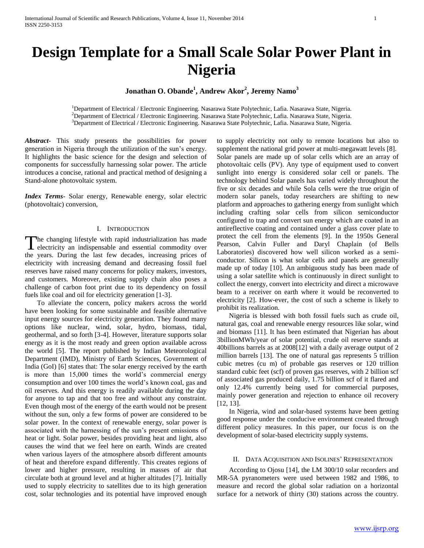# **Design Template for a Small Scale Solar Power Plant in Nigeria**

**Jonathan O. Obande<sup>1</sup> , Andrew Akor<sup>2</sup> , Jeremy Namo<sup>3</sup>**

<sup>1</sup>Department of Electrical / Electronic Engineering. Nasarawa State Polytechnic, Lafia. Nasarawa State, Nigeria. <sup>2</sup>Department of Electrical / Electronic Engineering. Nasarawa State Polytechnic, Lafia. Nasarawa State, Nigeria. <sup>3</sup>Department of Electrical / Electronic Engineering. Nasarawa State Polytechnic, Lafia. Nasarawa State, Nigeria.

*Abstract***-** This study presents the possibilities for power generation in Nigeria through the utilization of the sun's energy. It highlights the basic science for the design and selection of components for successfully harnessing solar power. The article introduces a concise, rational and practical method of designing a Stand-alone photovoltaic system.

*Index Terms*- Solar energy, Renewable energy, solar electric (photovoltaic) conversion,

## I. INTRODUCTION

The changing lifestyle with rapid industrialization has made electricity an indispensable and essential commodity over **L** electricity an indispensable and essential commodity over the years. During the last few decades, increasing prices of electricity with increasing demand and decreasing fossil fuel reserves have raised many concerns for policy makers, investors, and customers. Moreover, existing supply chain also poses a challenge of carbon foot print due to its dependency on fossil fuels like coal and oil for electricity generation [1-3].

 To alleviate the concern, policy makers across the world have been looking for some sustainable and feasible alternative input energy sources for electricity generation. They found many options like nuclear, wind, solar, hydro, biomass, tidal, geothermal, and so forth [3-4]. However, literature supports solar energy as it is the most ready and green option available across the world [5]. The report published by Indian Meteorological Department (IMD), Ministry of Earth Sciences, Government of India (GoI) [6] states that: The solar energy received by the earth is more than 15,000 times the world's commercial energy consumption and over 100 times the world's known coal, gas and oil reserves. And this energy is readily available during the day for anyone to tap and that too free and without any constraint. Even though most of the energy of the earth would not be present without the sun, only a few forms of power are considered to be solar power. In the context of renewable energy, solar power is associated with the harnessing of the sun's present emissions of heat or light. Solar power, besides providing heat and light, also causes the wind that we feel here on earth. Winds are created when various layers of the atmosphere absorb different amounts of heat and therefore expand differently. This creates regions of lower and higher pressure, resulting in masses of air that circulate both at ground level and at higher altitudes [7]. Initially used to supply electricity to satellites due to its high generation cost, solar technologies and its potential have improved enough

to supply electricity not only to remote locations but also to supplement the national grid power at multi-megawatt levels [8]. Solar panels are made up of solar cells which are an array of photovoltaic cells (PV). Any type of equipment used to convert sunlight into energy is considered solar cell or panels. The technology behind Solar panels has varied widely throughout the five or six decades and while Sola cells were the true origin of modern solar panels, today researchers are shifting to new platform and approaches to gathering energy from sunlight which including crafting solar cells from silicon semiconductor configured to trap and convert sun energy which are coated in an antireflective coating and contained under a glass cover plate to protect the cell from the elements [9]. In the 1950s General Pearson, Calvin Fuller and Daryl Chaplain (of Bells Laboratories) discovered how well silicon worked as a semiconductor. Silicon is what solar cells and panels are generally made up of today [10]. An ambiguous study has been made of using a solar satellite which is continuously in direct sunlight to collect the energy, convert into electricity and direct a microwave beam to a receiver on earth where it would be reconverted to electricity [2]. How-ever, the cost of such a scheme is likely to prohibit its realization.

 Nigeria is blessed with both fossil fuels such as crude oil, natural gas, coal and renewable energy resources like solar, wind and biomass [11]. It has been estimated that Nigerian has about 3billionMWh/year of solar potential, crude oil reserve stands at 40billions barrels as at 2008[12] with a daily average output of 2 million barrels [13]. The one of natural gas represents 5 trillion cubic metres (cu m) of probable gas reserves or 120 trillion standard cubic feet (scf) of proven gas reserves, with 2 billion scf of associated gas produced daily, 1.75 billion scf of it flared and only 12.4% currently being used for commercial purposes, mainly power generation and rejection to enhance oil recovery [12, 13].

 In Nigeria, wind and solar-based systems have been getting good response under the conducive environment created through different policy measures. In this paper, our focus is on the development of solar-based electricity supply systems.

### II. DATA ACQUISITION AND ISOLINES' REPRESENTATION

 According to Ojosu [14], the LM 300/10 solar recorders and MR-5A pyranometers were used between 1982 and 1986, to measure and record the global solar radiation on a horizontal surface for a network of thirty (30) stations across the country.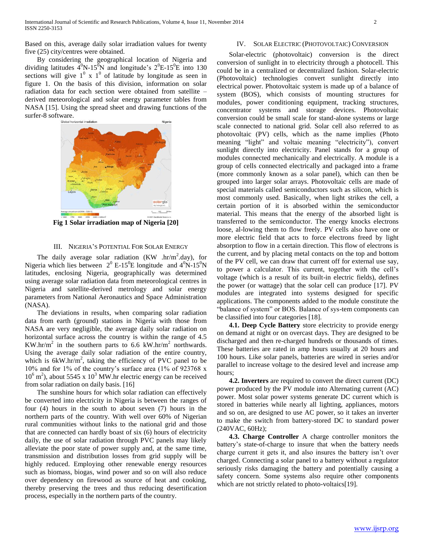Based on this, average daily solar irradiation values for twenty five (25) city/centres were obtained.

 By considering the geographical location of Nigeria and dividing latitudes  $4^0$ N-15<sup>0</sup>N and longitude's  $2^0$ E-15<sup>0</sup>E into 130 sections will give  $1^0$  x  $1^0$  of latitude by longitude as seen in figure 1. On the basis of this division, information on solar radiation data for each section were obtained from satellite – derived meteorological and solar energy parameter tables from NASA [15]. Using the spread sheet and drawing functions of the surfer-8 software.



**Fig 1 Solar irradiation map of Nigeria [20]**

## III. NIGERIA'S POTENTIAL FOR SOLAR ENERGY

The daily average solar radiation  $(KW_nhr/m^2.day)$ , for Nigeria which lies between  $2^0$  E-15<sup>0</sup>E longitude and  $4^0$ N-15<sup>0</sup>N latitudes, enclosing Nigeria, geographically was determined using average solar radiation data from meteorological centres in Nigeria and satellite-derived metrology and solar energy parameters from National Aeronautics and Space Administration (NASA).

 The deviations in results, when comparing solar radiation data from earth (ground) stations in Nigeria with those from NASA are very negligible, the average daily solar radiation on horizontal surface across the country is within the range of 4.5 KW.hr/m<sup>2</sup> in the southern parts to 6.6 kW.hr/m<sup>2</sup> northwards. Using the average daily solar radiation of the entire country, which is  $6kW.hr/m<sup>2</sup>$ , taking the efficiency of PVC panel to be 10% and for 1% of the country's surface area (1% of 923768 x  $10^6$  m<sup>2</sup>), about 5545 x  $10^3$  MW.hr electric energy can be received from solar radiation on daily basis. [16]

 The sunshine hours for which solar radiation can effectively be converted into electricity in Nigeria is between the ranges of four (4) hours in the south to about seven (7) hours in the northern parts of the country. With well over 60% of Nigerian rural communities without links to the national grid and those that are connected can hardly boast of six (6) hours of electricity daily, the use of solar radiation through PVC panels may likely alleviate the poor state of power supply and, at the same time, transmission and distribution losses from grid supply will be highly reduced. Employing other renewable energy resources such as biomass, biogas, wind power and so on will also reduce over dependency on firewood as source of heat and cooking, thereby preserving the trees and thus reducing desertification process, especially in the northern parts of the country.

#### IV. SOLAR ELECTRIC (PHOTOVOLTAIC) CONVERSION

 Solar-electric (photovoltaic) conversion is the direct conversion of sunlight in to electricity through a photocell. This could be in a centralized or decentralized fashion. Solar-electric (Photovoltaic) technologies convert sunlight directly into electrical power. Photovoltaic system is made up of a balance of system (BOS), which consists of mounting structures for modules, power conditioning equipment, tracking structures, concentrator systems and storage devices. Photovoltaic conversion could be small scale for stand-alone systems or large scale connected to national grid. Solar cell also referred to as photovoltaic (PV) cells, which as the name implies (Photo meaning "light" and voltaic meaning "electricity"), convert sunlight directly into electricity. Panel stands for a group of modules connected mechanically and electrically. A module is a group of cells connected electrically and packaged into a frame (more commonly known as a solar panel), which can then be grouped into larger solar arrays. Photovoltaic cells are made of special materials called semiconductors such as silicon, which is most commonly used. Basically, when light strikes the cell, a certain portion of it is absorbed within the semiconductor material. This means that the energy of the absorbed light is transferred to the semiconductor. The energy knocks electrons loose, al-lowing them to flow freely. PV cells also have one or more electric field that acts to force electrons freed by light absorption to flow in a certain direction. This flow of electrons is the current, and by placing metal contacts on the top and bottom of the PV cell, we can draw that current off for external use say, to power a calculator. This current, together with the cell's voltage (which is a result of its built-in electric fields), defines the power (or wattage) that the solar cell can produce [17]. PV modules are integrated into systems designed for specific applications. The components added to the module constitute the "balance of system" or BOS. Balance of sys-tem components can be classified into four categories [18].

 **4.1. Deep Cycle Battery** store electricity to provide energy on demand at night or on overcast days. They are designed to be discharged and then re-charged hundreds or thousands of times. These batteries are rated in amp hours usually at 20 hours and 100 hours. Like solar panels, batteries are wired in series and/or parallel to increase voltage to the desired level and increase amp hours;

 **4.2. Inverters** are required to convert the direct current (DC) power produced by the PV module into Alternating current (AC) power. Most solar power systems generate DC current which is stored in batteries while nearly all lighting, appliances, motors and so on, are designed to use AC power, so it takes an inverter to make the switch from battery-stored DC to standard power (240VAC, 60Hz);

 **4.3. Charge Controller** A charge controller monitors the battery's state-of-charge to insure that when the battery needs charge current it gets it, and also insures the battery isn't over charged. Connecting a solar panel to a battery without a regulator seriously risks damaging the battery and potentially causing a safety concern. Some systems also require other components which are not strictly related to photo-voltaics[19].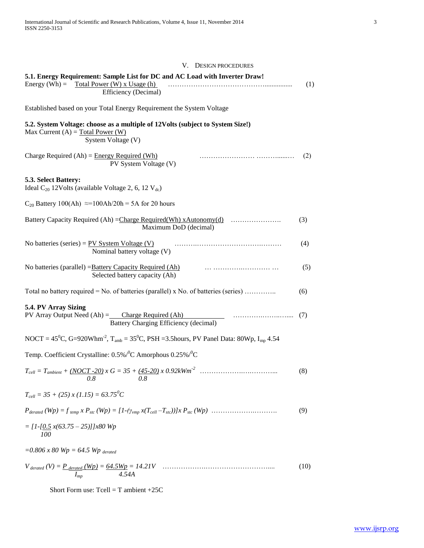| V. DESIGN PROCEDURES                                                                                                                           |      |
|------------------------------------------------------------------------------------------------------------------------------------------------|------|
| 5.1. Energy Requirement: Sample List for DC and AC Load with Inverter Draw!<br>Energy (Wh) = Total Power (W) x Usage (h)                       | (1)  |
| Efficiency (Decimal)                                                                                                                           |      |
| Established based on your Total Energy Requirement the System Voltage                                                                          |      |
| 5.2. System Voltage: choose as a multiple of 12Volts (subject to System Size!)<br>Max Current $(A)$ = Total Power (W)<br>System Voltage (V)    |      |
| Charge Required $(Ah) =$ Energy Required $(Wh)$<br>PV System Voltage (V)                                                                       | (2)  |
| 5.3. Select Battery:<br>Ideal C <sub>20</sub> 12Volts (available Voltage 2, 6, 12 V <sub>dc</sub> )                                            |      |
| $C_{20}$ Battery 100(Ah) $\approx$ =100Ah/20h = 5A for 20 hours                                                                                |      |
| Battery Capacity Required (Ah) = Charge Required (Wh) xAutonomy (d)<br>Maximum DoD (decimal)                                                   | (3)  |
| No batteries (series) = $PV$ System Voltage (V)<br>Nominal battery voltage (V)                                                                 | (4)  |
| No batteries (parallel) = Battery Capacity Required (Ah)<br>Selected battery capacity (Ah)                                                     | (5)  |
| Total no battery required = No. of batteries (parallel) x No. of batteries (series)                                                            | (6)  |
| 5.4. PV Array Sizing<br>$PV$ Array Output Need (Ah) = Charge Required (Ah)<br>Battery Charging Efficiency (decimal)                            | (7)  |
| NOCT = $45^{\circ}$ C, G=920Whm <sup>-2</sup> , T <sub>amb</sub> = $35^{\circ}$ C, PSH = 3.5hours, PV Panel Data: 80Wp, I <sub>mp</sub> 4.54   |      |
| Temp. Coefficient Crystalline: $0.5\%$ / C Amorphous $0.25\%$ / C                                                                              |      |
| $T_{cell} = T_{ambient} + (NOCT - 20) \times G = 35 + (45 - 20) \times 0.92 \text{kWm}^2$<br>0.8<br>0.8                                        | (8)  |
| $T_{cell} = 35 + (25) x (1.15) = 63.75^{o}C$                                                                                                   |      |
| $P_{derated} (Wp) = f_{temp} x P_{stc} (Wp) = [1-(\gamma_{vmp} x(T_{cell}-T_{stc}))] x P_{stc} (Wp) \dots \dots \dots \dots \dots \dots \dots$ | (9)  |
| $= [1 - [0.5 x(63.75 - 25)]]x80$ Wp<br>100                                                                                                     |      |
| $= 0.806 x 80 Wp = 64.5 Wp$ derated                                                                                                            |      |
| $I_{mp}$                                                                                                                                       | (10) |

Short Form use: Tcell = T ambient +25C